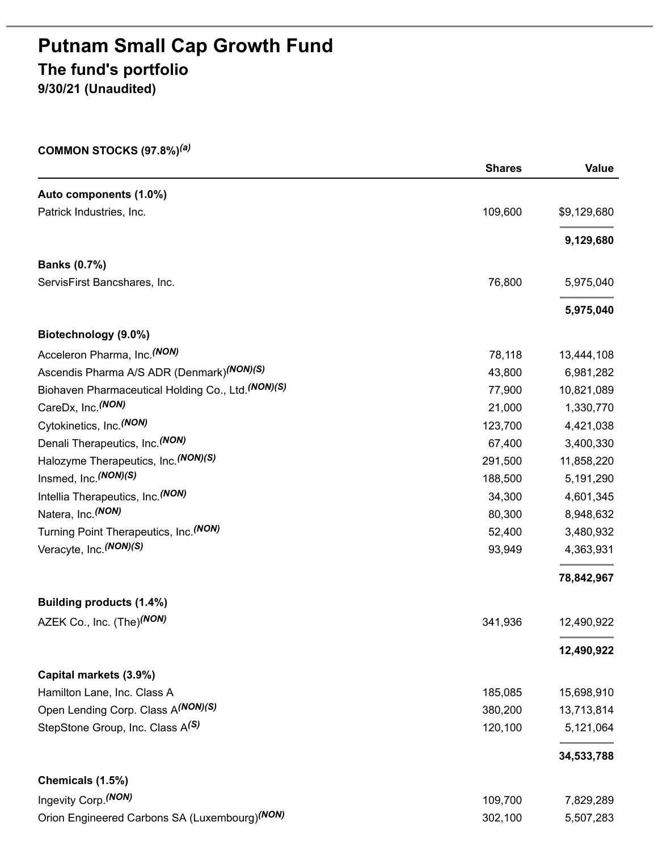# **Putnam Small Cap Growth Fund The fund's portfolio**

**9/30/21 (Unaudited)**

#### **COMMON STOCKS (97.8%)** *(a)*

|                                                       | <b>Shares</b> | <b>Value</b> |
|-------------------------------------------------------|---------------|--------------|
| Auto components (1.0%)                                |               |              |
| Patrick Industries, Inc.                              | 109,600       | \$9,129,680  |
|                                                       |               | 9,129,680    |
| <b>Banks (0.7%)</b>                                   |               |              |
| ServisFirst Bancshares, Inc.                          | 76,800        | 5,975,040    |
|                                                       |               | 5,975,040    |
| Biotechnology (9.0%)                                  |               |              |
| Acceleron Pharma, Inc. <sup>(NON)</sup>               | 78,118        | 13,444,108   |
| Ascendis Pharma A/S ADR (Denmark) <sup>(NON)(S)</sup> | 43,800        | 6,981,282    |
| Biohaven Pharmaceutical Holding Co., Ltd. (NON)(S)    | 77,900        | 10,821,089   |
| CareDx, Inc. (NON)                                    | 21,000        | 1,330,770    |
| Cytokinetics, Inc. <sup>(NON)</sup>                   | 123,700       | 4,421,038    |
| Denali Therapeutics, Inc. (NON)                       | 67,400        | 3,400,330    |
| Halozyme Therapeutics, Inc. (NON)(S)                  | 291,500       | 11,858,220   |
| Insmed, Inc. (NON)(S)                                 | 188,500       | 5,191,290    |
| Intellia Therapeutics, Inc. (NON)                     | 34,300        | 4,601,345    |
| Natera, Inc. (NON)                                    | 80,300        | 8,948,632    |
| Turning Point Therapeutics, Inc. (NON)                | 52,400        | 3,480,932    |
| Veracyte, Inc. (NON) (S)                              | 93,949        | 4,363,931    |
|                                                       |               | 78,842,967   |
| Building products (1.4%)                              |               |              |
| AZEK Co., Inc. (The)(NON)                             | 341,936       | 12,490,922   |
|                                                       |               | 12,490,922   |
| Capital markets (3.9%)                                |               |              |
| Hamilton Lane, Inc. Class A                           | 185,085       | 15,698,910   |
| Open Lending Corp. Class A(NON)(S)                    | 380,200       | 13,713,814   |
| StepStone Group, Inc. Class A <sup>(S)</sup>          | 120,100       | 5,121,064    |
|                                                       |               | 34,533,788   |
| Chemicals (1.5%)                                      |               |              |
| Ingevity Corp. (NON)                                  | 109,700       | 7,829,289    |
| Orion Engineered Carbons SA (Luxembourg) (NON)        | 302,100       | 5,507,283    |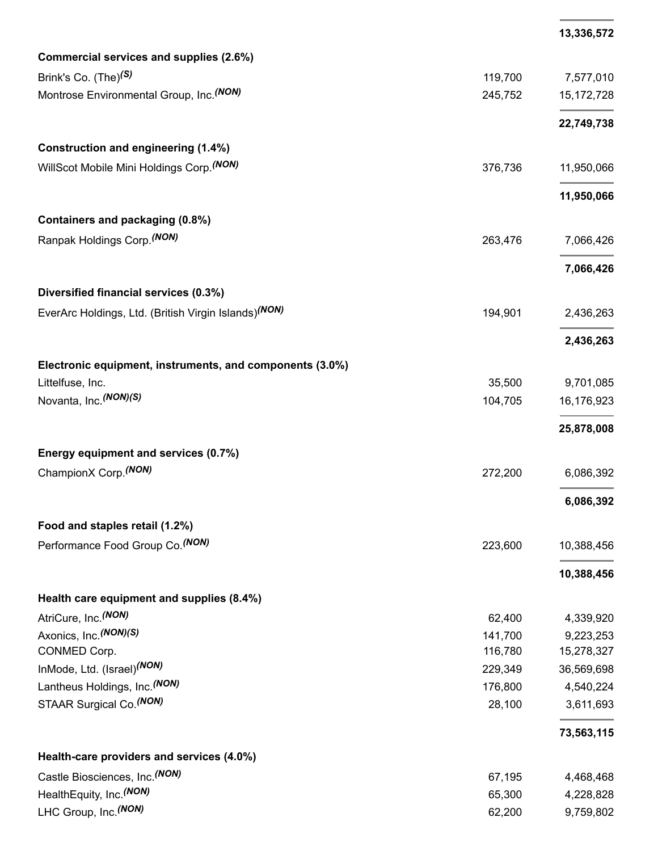|                                                                  |         | 13,336,572   |
|------------------------------------------------------------------|---------|--------------|
| Commercial services and supplies (2.6%)                          |         |              |
| Brink's Co. (The) <sup>(S)</sup>                                 | 119,700 | 7,577,010    |
| Montrose Environmental Group, Inc. (NON)                         | 245,752 | 15, 172, 728 |
|                                                                  |         |              |
|                                                                  |         | 22,749,738   |
| Construction and engineering (1.4%)                              |         |              |
| WillScot Mobile Mini Holdings Corp. (NON)                        | 376,736 | 11,950,066   |
|                                                                  |         | 11,950,066   |
| Containers and packaging (0.8%)                                  |         |              |
| Ranpak Holdings Corp. (NON)                                      | 263,476 |              |
|                                                                  |         | 7,066,426    |
|                                                                  |         | 7,066,426    |
| Diversified financial services (0.3%)                            |         |              |
| EverArc Holdings, Ltd. (British Virgin Islands) <sup>(NON)</sup> | 194,901 | 2,436,263    |
|                                                                  |         |              |
|                                                                  |         | 2,436,263    |
| Electronic equipment, instruments, and components (3.0%)         |         |              |
| Littelfuse, Inc.                                                 | 35,500  | 9,701,085    |
| Novanta, Inc. (NON) (S)                                          | 104,705 | 16,176,923   |
|                                                                  |         | 25,878,008   |
| Energy equipment and services (0.7%)                             |         |              |
| ChampionX Corp. <sup>(NON)</sup>                                 | 272,200 | 6,086,392    |
|                                                                  |         |              |
|                                                                  |         | 6,086,392    |
| Food and staples retail (1.2%)                                   |         |              |
| Performance Food Group Co. (NON)                                 | 223,600 | 10,388,456   |
|                                                                  |         |              |
|                                                                  |         | 10,388,456   |
| Health care equipment and supplies (8.4%)                        |         |              |
| AtriCure, Inc. (NON)                                             | 62,400  | 4,339,920    |
| Axonics, Inc. (NON)(S)                                           | 141,700 | 9,223,253    |
| CONMED Corp.                                                     | 116,780 | 15,278,327   |
| InMode, Ltd. (Israel) <sup>(NON)</sup>                           | 229,349 | 36,569,698   |
| Lantheus Holdings, Inc. (NON)                                    | 176,800 | 4,540,224    |
| STAAR Surgical Co. (NON)                                         | 28,100  | 3,611,693    |
|                                                                  |         | 73,563,115   |
| Health-care providers and services (4.0%)                        |         |              |
| Castle Biosciences, Inc. (NON)                                   | 67,195  | 4,468,468    |
| HealthEquity, Inc. (NON)                                         | 65,300  | 4,228,828    |
| LHC Group, Inc. (NON)                                            | 62,200  | 9,759,802    |
|                                                                  |         |              |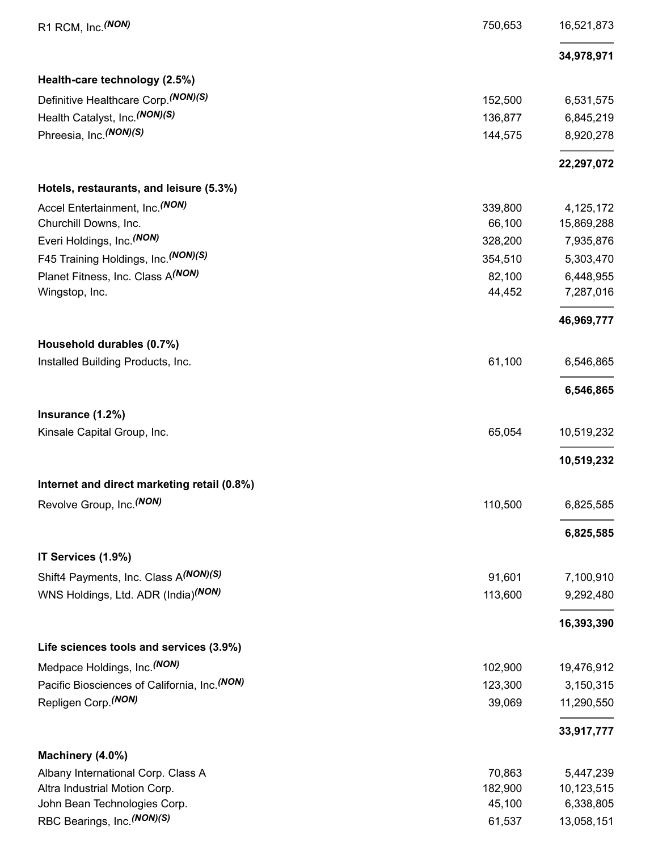| R1 RCM, Inc. (NON)                                             | 750,653 | 16,521,873 |
|----------------------------------------------------------------|---------|------------|
|                                                                |         | 34,978,971 |
| Health-care technology (2.5%)                                  |         |            |
| Definitive Healthcare Corp. (NON)(S)                           | 152,500 | 6,531,575  |
| Health Catalyst, Inc. (NON)(S)                                 | 136,877 | 6,845,219  |
| Phreesia, Inc. (NON) (S)                                       | 144,575 | 8,920,278  |
|                                                                |         | 22,297,072 |
| Hotels, restaurants, and leisure (5.3%)                        |         |            |
| Accel Entertainment, Inc. (NON)                                | 339,800 | 4,125,172  |
| Churchill Downs, Inc.                                          | 66,100  | 15,869,288 |
| Everi Holdings, Inc. (NON)                                     | 328,200 | 7,935,876  |
| F45 Training Holdings, Inc. (NON)(S)                           | 354,510 | 5,303,470  |
| Planet Fitness, Inc. Class A(NON)                              | 82,100  | 6,448,955  |
| Wingstop, Inc.                                                 | 44,452  | 7,287,016  |
|                                                                |         | 46,969,777 |
| Household durables (0.7%)<br>Installed Building Products, Inc. | 61,100  | 6,546,865  |
|                                                                |         |            |
|                                                                |         | 6,546,865  |
| Insurance (1.2%)                                               |         |            |
| Kinsale Capital Group, Inc.                                    | 65,054  | 10,519,232 |
|                                                                |         | 10,519,232 |
| Internet and direct marketing retail (0.8%)                    |         |            |
| Revolve Group, Inc. (NON)                                      | 110,500 | 6,825,585  |
|                                                                |         | 6,825,585  |
| IT Services (1.9%)                                             |         |            |
| Shift4 Payments, Inc. Class A(NON)(S)                          | 91,601  | 7,100,910  |
| WNS Holdings, Ltd. ADR (India) <sup>(NON)</sup>                | 113,600 | 9,292,480  |
|                                                                |         | 16,393,390 |
| Life sciences tools and services (3.9%)                        |         |            |
| Medpace Holdings, Inc. (NON)                                   | 102,900 | 19,476,912 |
| Pacific Biosciences of California, Inc. (NON)                  | 123,300 | 3,150,315  |
| Repligen Corp. (NON)                                           | 39,069  | 11,290,550 |
|                                                                |         | 33,917,777 |
| Machinery (4.0%)                                               |         |            |
| Albany International Corp. Class A                             | 70,863  | 5,447,239  |
| Altra Industrial Motion Corp.                                  | 182,900 | 10,123,515 |
| John Bean Technologies Corp.                                   | 45,100  | 6,338,805  |
| RBC Bearings, Inc. (NON)(S)                                    | 61,537  | 13,058,151 |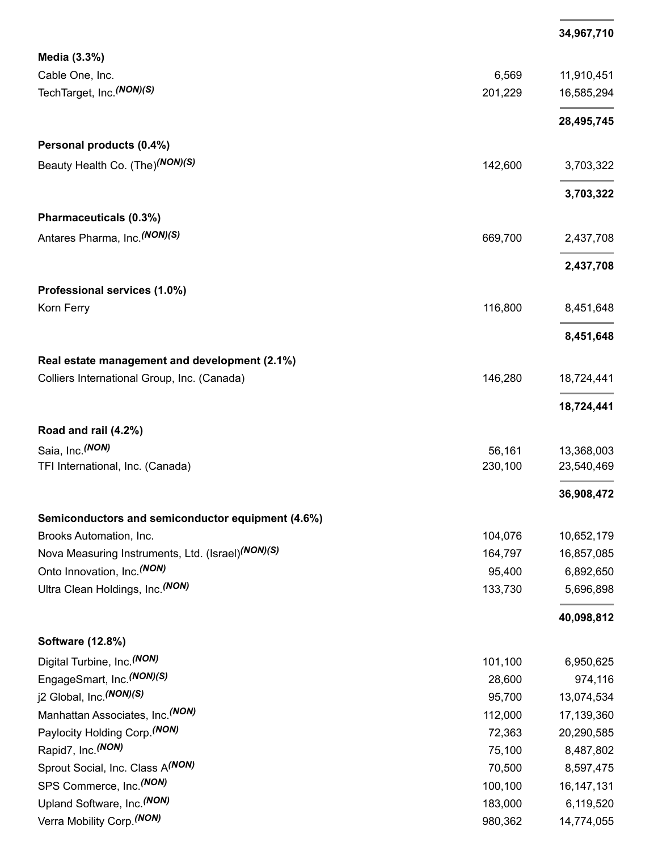|                                                   |         | 34,967,710   |
|---------------------------------------------------|---------|--------------|
| Media (3.3%)                                      |         |              |
| Cable One, Inc.                                   | 6,569   | 11,910,451   |
| TechTarget, Inc. (NON)(S)                         | 201,229 | 16,585,294   |
|                                                   |         | 28,495,745   |
| Personal products (0.4%)                          |         |              |
| Beauty Health Co. (The) <sup>(NON)(S)</sup>       | 142,600 | 3,703,322    |
|                                                   |         | 3,703,322    |
| Pharmaceuticals (0.3%)                            |         |              |
| Antares Pharma, Inc. (NON)(S)                     | 669,700 | 2,437,708    |
|                                                   |         | 2,437,708    |
| Professional services (1.0%)                      |         |              |
| Korn Ferry                                        | 116,800 | 8,451,648    |
|                                                   |         | 8,451,648    |
| Real estate management and development (2.1%)     |         |              |
| Colliers International Group, Inc. (Canada)       | 146,280 | 18,724,441   |
|                                                   |         | 18,724,441   |
| Road and rail (4.2%)                              |         |              |
| Saia, Inc. (NON)                                  | 56,161  | 13,368,003   |
| TFI International, Inc. (Canada)                  | 230,100 | 23,540,469   |
|                                                   |         | 36,908,472   |
| Semiconductors and semiconductor equipment (4.6%) |         |              |
| Brooks Automation, Inc.                           | 104,076 | 10,652,179   |
| Nova Measuring Instruments, Ltd. (Israel)(NON)(S) | 164,797 | 16,857,085   |
| Onto Innovation, Inc. (NON)                       | 95,400  | 6,892,650    |
| Ultra Clean Holdings, Inc. (NON)                  | 133,730 | 5,696,898    |
|                                                   |         | 40,098,812   |
| Software (12.8%)                                  |         |              |
| Digital Turbine, Inc. (NON)                       | 101,100 | 6,950,625    |
| EngageSmart, Inc. (NON)(S)                        | 28,600  | 974,116      |
| j2 Global, Inc. (NON)(S)                          | 95,700  | 13,074,534   |
| Manhattan Associates, Inc. (NON)                  | 112,000 | 17,139,360   |
| Paylocity Holding Corp. (NON)                     | 72,363  | 20,290,585   |
| Rapid7, Inc. (NON)                                | 75,100  | 8,487,802    |
| Sprout Social, Inc. Class A(NON)                  | 70,500  | 8,597,475    |
| SPS Commerce, Inc. (NON)                          | 100,100 | 16, 147, 131 |
| Upland Software, Inc. (NON)                       | 183,000 | 6,119,520    |
| Verra Mobility Corp. (NON)                        | 980,362 | 14,774,055   |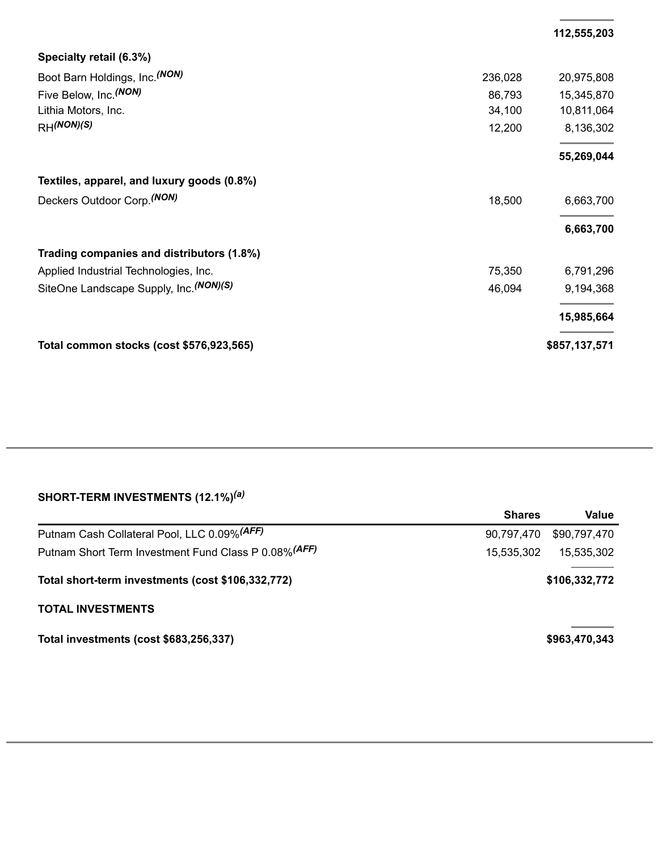|                                            |         | 112,555,203   |
|--------------------------------------------|---------|---------------|
| Specialty retail (6.3%)                    |         |               |
| Boot Barn Holdings, Inc. (NON)             | 236,028 | 20,975,808    |
| Five Below, Inc. (NON)                     | 86,793  | 15,345,870    |
| Lithia Motors, Inc.                        | 34,100  | 10,811,064    |
| $RH^{(NON)(S)}$                            | 12,200  | 8,136,302     |
|                                            |         | 55,269,044    |
| Textiles, apparel, and luxury goods (0.8%) |         |               |
| Deckers Outdoor Corp. <sup>(NON)</sup>     | 18,500  | 6,663,700     |
|                                            |         | 6,663,700     |
| Trading companies and distributors (1.8%)  |         |               |
| Applied Industrial Technologies, Inc.      | 75,350  | 6,791,296     |
| SiteOne Landscape Supply, Inc. (NON)(S)    | 46,094  | 9,194,368     |
|                                            |         | 15,985,664    |
| Total common stocks (cost \$576,923,565)   |         | \$857,137,571 |

### **SHORT-TERM INVESTMENTS (12.1%)** *(a)*

|                                                       | <b>Shares</b> | Value         |
|-------------------------------------------------------|---------------|---------------|
| Putnam Cash Collateral Pool, LLC 0.09% (AFF)          | 90,797,470    | \$90,797,470  |
| Putnam Short Term Investment Fund Class P 0.08% (AFF) | 15.535.302    | 15.535.302    |
| Total short-term investments (cost \$106,332,772)     |               | \$106,332,772 |
| <b>TOTAL INVESTMENTS</b>                              |               |               |
| Total investments (cost \$683,256,337)                |               | \$963,470,343 |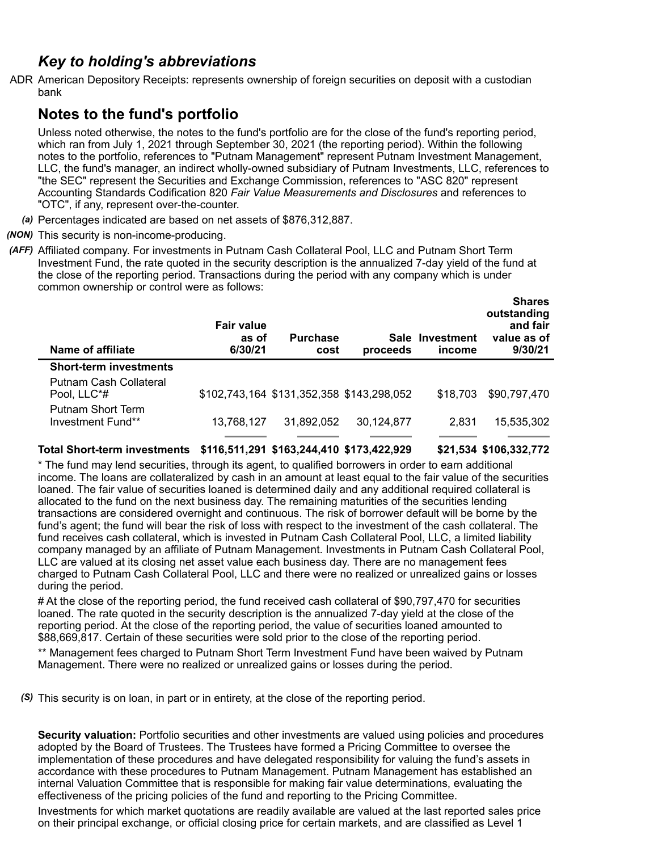## *Key to holding's abbreviations*

ADR American Depository Receipts: represents ownership of foreign securities on deposit with a custodian bank

## **Notes to the fund's portfolio**

Unless noted otherwise, the notes to the fund's portfolio are for the close of the fund's reporting period, which ran from July 1, 2021 through September 30, 2021 (the reporting period). Within the following notes to the portfolio, references to "Putnam Management" represent Putnam Investment Management, LLC, the fund's manager, an indirect wholly-owned subsidiary of Putnam Investments, LLC, references to "the SEC" represent the Securities and Exchange Commission, references to "ASC 820" represent Accounting Standards Codification 820 *Fair Value Measurements and Disclosures* and references to "OTC", if any, represent over-the-counter.

- *(a)* Percentages indicated are based on net assets of \$876,312,887.
- *(NON)* This security is non-income-producing.
- *(AFF)* Affiliated company. For investments in Putnam Cash Collateral Pool, LLC and Putnam Short Term Investment Fund, the rate quoted in the security description is the annualized 7-day yield of the fund at the close of the reporting period. Transactions during the period with any company which is under common ownership or control were as follows:

| Name of affiliate                      | <b>Fair value</b><br>as of<br>6/30/21 | <b>Purchase</b><br>cost                   | Sale<br>proceeds | Investment<br>income | <b>Shares</b><br>outstanding<br>and fair<br>value as of<br>9/30/21 |
|----------------------------------------|---------------------------------------|-------------------------------------------|------------------|----------------------|--------------------------------------------------------------------|
| <b>Short-term investments</b>          |                                       |                                           |                  |                      |                                                                    |
| Putnam Cash Collateral<br>Pool, LLC*#  |                                       | \$102,743,164 \$131,352,358 \$143,298,052 |                  | \$18,703             | \$90,797,470                                                       |
| Putnam Short Term<br>Investment Fund** | 13,768,127                            | 31.892.052                                | 30,124,877       | 2,831                | 15,535,302                                                         |

**Total Short-term investments \$116,511,291 \$163,244,410 \$173,422,929 \$21,534 \$106,332,772**

\* The fund may lend securities, through its agent, to qualified borrowers in order to earn additional income. The loans are collateralized by cash in an amount at least equal to the fair value of the securities loaned. The fair value of securities loaned is determined daily and any additional required collateral is allocated to the fund on the next business day. The remaining maturities of the securities lending transactions are considered overnight and continuous. The risk of borrower default will be borne by the fund's agent; the fund will bear the risk of loss with respect to the investment of the cash collateral. The fund receives cash collateral, which is invested in Putnam Cash Collateral Pool, LLC, a limited liability company managed by an affiliate of Putnam Management. Investments in Putnam Cash Collateral Pool, LLC are valued at its closing net asset value each business day. There are no management fees charged to Putnam Cash Collateral Pool, LLC and there were no realized or unrealized gains or losses during the period.

# At the close of the reporting period, the fund received cash collateral of \$90,797,470 for securities loaned. The rate quoted in the security description is the annualized 7-day yield at the close of the reporting period. At the close of the reporting period, the value of securities loaned amounted to \$88,669,817. Certain of these securities were sold prior to the close of the reporting period.

\*\* Management fees charged to Putnam Short Term Investment Fund have been waived by Putnam Management. There were no realized or unrealized gains or losses during the period.

*(S)* This security is on loan, in part or in entirety, at the close of the reporting period.

**Security valuation:** Portfolio securities and other investments are valued using policies and procedures adopted by the Board of Trustees. The Trustees have formed a Pricing Committee to oversee the implementation of these procedures and have delegated responsibility for valuing the fund's assets in accordance with these procedures to Putnam Management. Putnam Management has established an internal Valuation Committee that is responsible for making fair value determinations, evaluating the effectiveness of the pricing policies of the fund and reporting to the Pricing Committee.

Investments for which market quotations are readily available are valued at the last reported sales price on their principal exchange, or official closing price for certain markets, and are classified as Level 1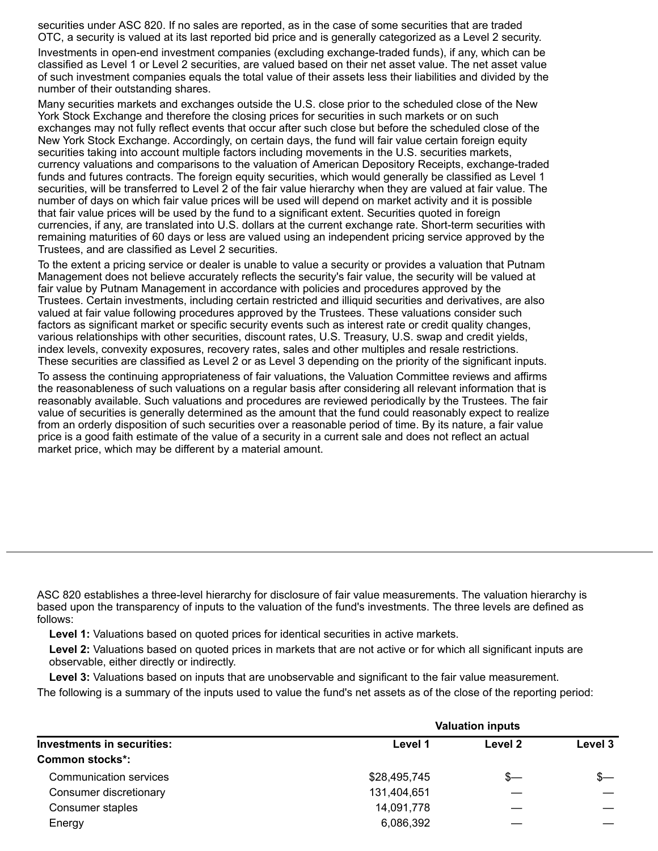securities under ASC 820. If no sales are reported, as in the case of some securities that are traded OTC, a security is valued at its last reported bid price and is generally categorized as a Level 2 security.

Investments in open-end investment companies (excluding exchange-traded funds), if any, which can be classified as Level 1 or Level 2 securities, are valued based on their net asset value. The net asset value of such investment companies equals the total value of their assets less their liabilities and divided by the number of their outstanding shares.

Many securities markets and exchanges outside the U.S. close prior to the scheduled close of the New York Stock Exchange and therefore the closing prices for securities in such markets or on such exchanges may not fully reflect events that occur after such close but before the scheduled close of the New York Stock Exchange. Accordingly, on certain days, the fund will fair value certain foreign equity securities taking into account multiple factors including movements in the U.S. securities markets, currency valuations and comparisons to the valuation of American Depository Receipts, exchange-traded funds and futures contracts. The foreign equity securities, which would generally be classified as Level 1 securities, will be transferred to Level 2 of the fair value hierarchy when they are valued at fair value. The number of days on which fair value prices will be used will depend on market activity and it is possible that fair value prices will be used by the fund to a significant extent. Securities quoted in foreign currencies, if any, are translated into U.S. dollars at the current exchange rate. Short-term securities with remaining maturities of 60 days or less are valued using an independent pricing service approved by the Trustees, and are classified as Level 2 securities.

To the extent a pricing service or dealer is unable to value a security or provides a valuation that Putnam Management does not believe accurately reflects the security's fair value, the security will be valued at fair value by Putnam Management in accordance with policies and procedures approved by the Trustees. Certain investments, including certain restricted and illiquid securities and derivatives, are also valued at fair value following procedures approved by the Trustees. These valuations consider such factors as significant market or specific security events such as interest rate or credit quality changes, various relationships with other securities, discount rates, U.S. Treasury, U.S. swap and credit yields, index levels, convexity exposures, recovery rates, sales and other multiples and resale restrictions. These securities are classified as Level 2 or as Level 3 depending on the priority of the significant inputs.

To assess the continuing appropriateness of fair valuations, the Valuation Committee reviews and affirms the reasonableness of such valuations on a regular basis after considering all relevant information that is reasonably available. Such valuations and procedures are reviewed periodically by the Trustees. The fair value of securities is generally determined as the amount that the fund could reasonably expect to realize from an orderly disposition of such securities over a reasonable period of time. By its nature, a fair value price is a good faith estimate of the value of a security in a current sale and does not reflect an actual market price, which may be different by a material amount.

ASC 820 establishes a three-level hierarchy for disclosure of fair value measurements. The valuation hierarchy is based upon the transparency of inputs to the valuation of the fund's investments. The three levels are defined as follows:

**Level 1:** Valuations based on quoted prices for identical securities in active markets.

**Level 2:** Valuations based on quoted prices in markets that are not active or for which all significant inputs are observable, either directly or indirectly.

**Level 3:** Valuations based on inputs that are unobservable and significant to the fair value measurement. The following is a summary of the inputs used to value the fund's net assets as of the close of the reporting period:

|                            | <b>Valuation inputs</b> |         |         |  |
|----------------------------|-------------------------|---------|---------|--|
| Investments in securities: | Level 1                 | Level 2 | Level 3 |  |
| <b>Common stocks*:</b>     |                         |         |         |  |
| Communication services     | \$28,495,745            | s—      | $s-$    |  |
| Consumer discretionary     | 131,404,651             |         |         |  |
| Consumer staples           | 14,091,778              |         |         |  |
| Energy                     | 6,086,392               |         |         |  |